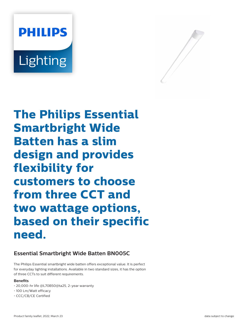# **PHILIPS** Lighting



**The Philips Essential Smartbright Wide Batten has a slim design and provides flexibility for customers to choose from three CCT and two wattage options, based on their specific need.**

# **Essential Smartbright Wide Batten BN005C**

The Philips Essential smartbright wide batten offers exceptional value. It is perfect for everyday lighting installations. Available in two standard sizes, it has the option of three CCTs to suit different requirements.

## **Benefits**

- 20,000-hr life @L70B50@ta25, 2-year warranty
- 100 Lm/Watt efficacy
- CCC/CB/CE Certified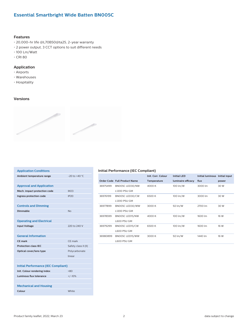# **Essential Smartbright Wide Batten BN005C**

#### **Features**

- 20,000-hr life @L70B50@ta25, 2-year warranty
- 2 power output, 3 CCT options to suit different needs
- 100 Lm/Watt
- CRI 80

#### **Application**

- Airports
- Warehouses
- Hospitality

### **Versions**



| <b>Application Conditions</b>              |                      |  |  |  |  |
|--------------------------------------------|----------------------|--|--|--|--|
| Ambient temperature range                  | $-20$ to $+40$ °C.   |  |  |  |  |
|                                            |                      |  |  |  |  |
| <b>Approval and Application</b>            |                      |  |  |  |  |
| Mech. impact protection code               | IK <sub>03</sub>     |  |  |  |  |
| Ingress protection code                    | IP <sub>20</sub>     |  |  |  |  |
|                                            |                      |  |  |  |  |
| <b>Controls and Dimming</b>                |                      |  |  |  |  |
| Dimmable                                   | No                   |  |  |  |  |
|                                            |                      |  |  |  |  |
| <b>Operating and Electrical</b>            |                      |  |  |  |  |
| <b>Input Voltage</b>                       | 220 to 240 V         |  |  |  |  |
|                                            |                      |  |  |  |  |
| <b>General Information</b>                 |                      |  |  |  |  |
| CF mark                                    | CE mark              |  |  |  |  |
| <b>Protection class IEC</b>                | Safety class II (II) |  |  |  |  |
| Optical cover/lens type                    | Polycarbonate        |  |  |  |  |
|                                            | linear               |  |  |  |  |
|                                            |                      |  |  |  |  |
| <b>Initial Performance (IEC Compliant)</b> |                      |  |  |  |  |
| Init. Colour rendering index               | >80                  |  |  |  |  |
| Luminous flux tolerance                    | $+/-10%$             |  |  |  |  |
|                                            |                      |  |  |  |  |
| <b>Mechanical and Housing</b>              |                      |  |  |  |  |
| Colour                                     | White                |  |  |  |  |

#### **Initial Performance (IEC Compliant)**

|          |                              | Init. Corr. Colour | <b>Initial LED</b> | Initial luminous Initial input |       |
|----------|------------------------------|--------------------|--------------------|--------------------------------|-------|
|          | Order Code Full Product Name | Temperature        | luminaire efficacy | flux                           | power |
| 36975499 | BN005C LED30/NW              | 4000 K             | 100 lm/W           | 3000 lm                        | 30 W  |
|          | <b>L1200 PSU GM</b>          |                    |                    |                                |       |
| 36976199 | BN005C LED30/CW              | 6500 K             | 100 lm/W           | 3000 lm                        | 30 W  |
|          | L1200 PSU GM                 |                    |                    |                                |       |
| 36977899 | BN005C LED30/WW              | 3000 K             | 92 lm/W            | 2700 lm                        | 30 W  |
|          | <b>L1200 PSU GM</b>          |                    |                    |                                |       |
| 36978599 | BN005C LED15/NW              | 4000 K             | 100 lm/W           | 1600 lm                        | 16 W  |
|          | <b>L600 PSU GM</b>           |                    |                    |                                |       |
| 36979299 | BN005C LED15/CW              | 6500K              | 100 lm/W           | 1600 lm                        | 16 W  |
|          | L600 PSU GM                  |                    |                    |                                |       |
| 36980899 | BN005C LED15/WW              | 3000 K             | 92 lm/W            | 1440 lm                        | 16 W  |
|          | <b>L600 PSU GM</b>           |                    |                    |                                |       |